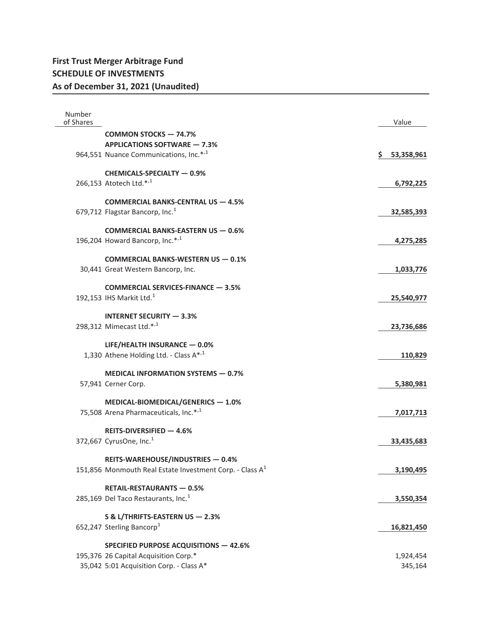| Number<br>of Shares |                                                                                        |    | Value                |
|---------------------|----------------------------------------------------------------------------------------|----|----------------------|
|                     | <b>COMMON STOCKS - 74.7%</b>                                                           |    |                      |
|                     |                                                                                        |    |                      |
|                     | <b>APPLICATIONS SOFTWARE - 7.3%</b>                                                    |    |                      |
|                     | 964,551 Nuance Communications, Inc.* <sup>,1</sup>                                     | S. | 53,358,961           |
|                     | CHEMICALS-SPECIALTY - 0.9%                                                             |    |                      |
|                     | 266,153 Atotech Ltd.* <sup>,1</sup>                                                    |    | 6,792,225            |
|                     | <b>COMMERCIAL BANKS-CENTRAL US - 4.5%</b>                                              |    |                      |
|                     | 679,712 Flagstar Bancorp, Inc. <sup>1</sup>                                            |    |                      |
|                     |                                                                                        |    | 32,585,393           |
|                     | <b>COMMERCIAL BANKS-EASTERN US - 0.6%</b>                                              |    |                      |
|                     | 196,204 Howard Bancorp, Inc.* <sup>,1</sup>                                            |    | 4,275,285            |
|                     |                                                                                        |    |                      |
|                     | <b>COMMERCIAL BANKS-WESTERN US - 0.1%</b>                                              |    |                      |
|                     | 30,441 Great Western Bancorp, Inc.                                                     |    | 1,033,776            |
|                     | <b>COMMERCIAL SERVICES-FINANCE - 3.5%</b>                                              |    |                      |
|                     | 192,153 IHS Markit Ltd. $1$                                                            |    | 25,540,977           |
|                     |                                                                                        |    |                      |
|                     | <b>INTERNET SECURITY - 3.3%</b>                                                        |    |                      |
|                     | 298,312 Mimecast Ltd.*,1                                                               |    | 23,736,686           |
|                     | LIFE/HEALTH INSURANCE - 0.0%                                                           |    |                      |
|                     | 1,330 Athene Holding Ltd. - Class $A^{*,1}$                                            |    | 110,829              |
|                     | <b>MEDICAL INFORMATION SYSTEMS - 0.7%</b>                                              |    |                      |
|                     |                                                                                        |    |                      |
|                     | 57,941 Cerner Corp.                                                                    |    | 5,380,981            |
|                     | MEDICAL-BIOMEDICAL/GENERICS - 1.0%                                                     |    |                      |
|                     | 75,508 Arena Pharmaceuticals, Inc.* <sup>,1</sup>                                      |    | 7,017,713            |
|                     |                                                                                        |    |                      |
|                     | REITS-DIVERSIFIED - 4.6%                                                               |    |                      |
|                     | 372,667 CyrusOne, Inc. $1$                                                             |    | 33,435,683           |
|                     | REITS-WAREHOUSE/INDUSTRIES - 0.4%                                                      |    |                      |
|                     | 151,856 Monmouth Real Estate Investment Corp. - Class A <sup>1</sup>                   |    | 3,190,495            |
|                     |                                                                                        |    |                      |
|                     | <b>RETAIL-RESTAURANTS - 0.5%</b><br>285,169 Del Taco Restaurants, Inc. <sup>1</sup>    |    |                      |
|                     |                                                                                        |    | 3,550,354            |
|                     | S & L/THRIFTS-EASTERN US - 2.3%                                                        |    |                      |
|                     | 652,247 Sterling Bancorp <sup>1</sup>                                                  |    | 16,821,450           |
|                     |                                                                                        |    |                      |
|                     | <b>SPECIFIED PURPOSE ACQUISITIONS - 42.6%</b><br>195,376 26 Capital Acquisition Corp.* |    |                      |
|                     | 35,042 5:01 Acquisition Corp. - Class A*                                               |    | 1,924,454<br>345,164 |
|                     |                                                                                        |    |                      |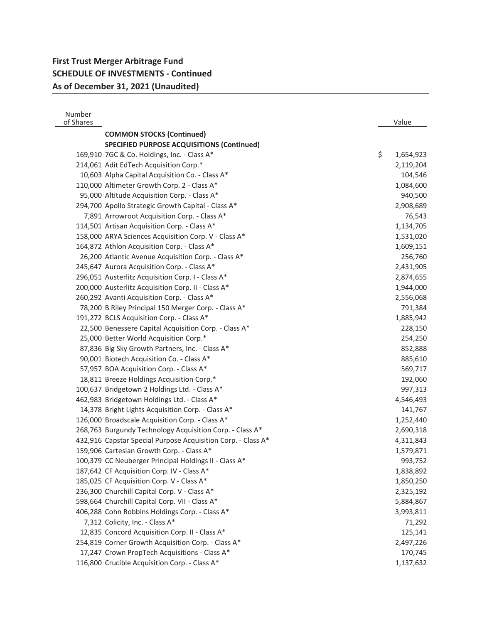| Number<br>of Shares |                                                                                                  | Value           |
|---------------------|--------------------------------------------------------------------------------------------------|-----------------|
|                     |                                                                                                  |                 |
|                     | <b>COMMON STOCKS (Continued)</b>                                                                 |                 |
|                     | <b>SPECIFIED PURPOSE ACQUISITIONS (Continued)</b><br>169,910 7GC & Co. Holdings, Inc. - Class A* | \$<br>1,654,923 |
|                     | 214,061 Adit EdTech Acquisition Corp.*                                                           | 2,119,204       |
|                     | 10,603 Alpha Capital Acquisition Co. - Class A*                                                  | 104,546         |
|                     | 110,000 Altimeter Growth Corp. 2 - Class A*                                                      | 1,084,600       |
|                     | 95,000 Altitude Acquisition Corp. - Class A*                                                     | 940,500         |
|                     | 294,700 Apollo Strategic Growth Capital - Class A*                                               | 2,908,689       |
|                     | 7,891 Arrowroot Acquisition Corp. - Class A*                                                     | 76,543          |
|                     | 114,501 Artisan Acquisition Corp. - Class A*                                                     | 1,134,705       |
|                     | 158,000 ARYA Sciences Acquisition Corp. V - Class A*                                             | 1,531,020       |
|                     | 164,872 Athlon Acquisition Corp. - Class A*                                                      | 1,609,151       |
|                     | 26,200 Atlantic Avenue Acquisition Corp. - Class A*                                              | 256,760         |
|                     | 245,647 Aurora Acquisition Corp. - Class A*                                                      | 2,431,905       |
|                     | 296,051 Austerlitz Acquisition Corp. I - Class A*                                                | 2,874,655       |
|                     | 200,000 Austerlitz Acquisition Corp. II - Class A*                                               | 1,944,000       |
|                     | 260,292 Avanti Acquisition Corp. - Class A*                                                      | 2,556,068       |
|                     | 78,200 B Riley Principal 150 Merger Corp. - Class A*                                             | 791,384         |
|                     | 191,272 BCLS Acquisition Corp. - Class A*                                                        | 1,885,942       |
|                     | 22,500 Benessere Capital Acquisition Corp. - Class A*                                            | 228,150         |
|                     | 25,000 Better World Acquisition Corp.*                                                           | 254,250         |
|                     | 87,836 Big Sky Growth Partners, Inc. - Class A*                                                  | 852,888         |
|                     | 90,001 Biotech Acquisition Co. - Class A*                                                        | 885,610         |
|                     | 57,957 BOA Acquisition Corp. - Class A*                                                          | 569,717         |
|                     | 18,811 Breeze Holdings Acquisition Corp.*                                                        | 192,060         |
|                     | 100,637 Bridgetown 2 Holdings Ltd. - Class A*                                                    | 997,313         |
|                     | 462,983 Bridgetown Holdings Ltd. - Class A*                                                      | 4,546,493       |
|                     | 14,378 Bright Lights Acquisition Corp. - Class A*                                                | 141,767         |
|                     | 126,000 Broadscale Acquisition Corp. - Class A*                                                  | 1,252,440       |
|                     | 268,763 Burgundy Technology Acquisition Corp. - Class A*                                         | 2,690,318       |
|                     | 432,916 Capstar Special Purpose Acquisition Corp. - Class A*                                     | 4,311,843       |
|                     | 159,906 Cartesian Growth Corp. - Class A*                                                        | 1,579,871       |
|                     | 100,379 CC Neuberger Principal Holdings II - Class A*                                            | 993,752         |
|                     | 187,642 CF Acquisition Corp. IV - Class A*                                                       | 1,838,892       |
|                     | 185,025 CF Acquisition Corp. V - Class A*                                                        | 1,850,250       |
|                     | 236,300 Churchill Capital Corp. V - Class A*                                                     | 2,325,192       |
|                     | 598,664 Churchill Capital Corp. VII - Class A*                                                   | 5,884,867       |
|                     | 406,288 Cohn Robbins Holdings Corp. - Class A*                                                   | 3,993,811       |
|                     | 7,312 Colicity, Inc. - Class A*                                                                  | 71,292          |
|                     | 12,835 Concord Acquisition Corp. II - Class A*                                                   | 125,141         |
|                     | 254,819 Corner Growth Acquisition Corp. - Class A*                                               | 2,497,226       |
|                     | 17,247 Crown PropTech Acquisitions - Class A*                                                    | 170,745         |
|                     | 116,800 Crucible Acquisition Corp. - Class A*                                                    | 1,137,632       |
|                     |                                                                                                  |                 |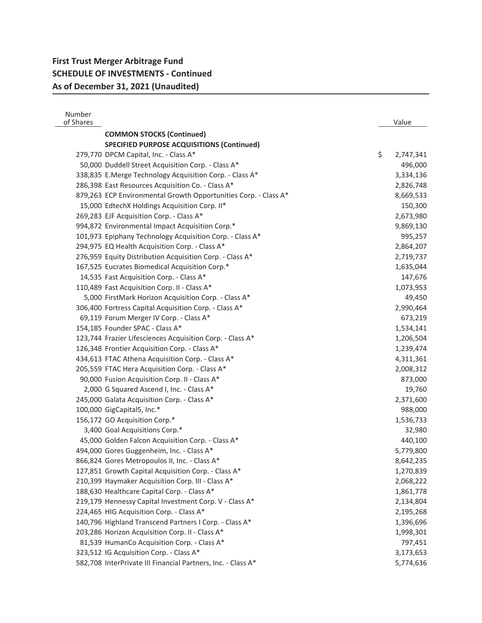| Number<br>of Shares |                                                                 | Value                  |
|---------------------|-----------------------------------------------------------------|------------------------|
|                     | <b>COMMON STOCKS (Continued)</b>                                |                        |
|                     | <b>SPECIFIED PURPOSE ACQUISITIONS (Continued)</b>               |                        |
|                     | 279,770 DPCM Capital, Inc. - Class A*                           | \$<br>2,747,341        |
|                     | 50,000 Duddell Street Acquisition Corp. - Class A*              | 496,000                |
|                     | 338,835 E.Merge Technology Acquisition Corp. - Class A*         | 3,334,136              |
|                     | 286,398 East Resources Acquisition Co. - Class A*               | 2,826,748              |
|                     | 879,263 ECP Environmental Growth Opportunities Corp. - Class A* | 8,669,533              |
|                     | 15,000 EdtechX Holdings Acquisition Corp. II*                   | 150,300                |
|                     | 269,283 EJF Acquisition Corp. - Class A*                        | 2,673,980              |
|                     | 994,872 Environmental Impact Acquisition Corp.*                 | 9,869,130              |
|                     | 101,973 Epiphany Technology Acquisition Corp. - Class A*        | 995,257                |
|                     | 294,975 EQ Health Acquisition Corp. - Class A*                  | 2,864,207              |
|                     | 276,959 Equity Distribution Acquisition Corp. - Class A*        | 2,719,737              |
|                     | 167,525 Eucrates Biomedical Acquisition Corp.*                  | 1,635,044              |
|                     | 14,535 Fast Acquisition Corp. - Class A*                        | 147,676                |
|                     | 110,489 Fast Acquisition Corp. II - Class A*                    | 1,073,953              |
|                     | 5,000 FirstMark Horizon Acquisition Corp. - Class A*            | 49,450                 |
|                     | 306,400 Fortress Capital Acquisition Corp. - Class A*           | 2,990,464              |
|                     | 69,119 Forum Merger IV Corp. - Class A*                         | 673,219                |
|                     | 154,185 Founder SPAC - Class A*                                 | 1,534,141              |
|                     | 123,744 Frazier Lifesciences Acquisition Corp. - Class A*       |                        |
|                     | 126,348 Frontier Acquisition Corp. - Class A*                   | 1,206,504<br>1,239,474 |
|                     | 434,613 FTAC Athena Acquisition Corp. - Class A*                |                        |
|                     | 205,559 FTAC Hera Acquisition Corp. - Class A*                  | 4,311,361              |
|                     |                                                                 | 2,008,312              |
|                     | 90,000 Fusion Acquisition Corp. II - Class A*                   | 873,000                |
|                     | 2,000 G Squared Ascend I, Inc. - Class A*                       | 19,760                 |
|                     | 245,000 Galata Acquisition Corp. - Class A*                     | 2,371,600              |
|                     | 100,000 GigCapital5, Inc.*                                      | 988,000                |
|                     | 156,172 GO Acquisition Corp.*                                   | 1,536,733              |
|                     | 3,400 Goal Acquisitions Corp.*                                  | 32,980                 |
|                     | 45,000 Golden Falcon Acquisition Corp. - Class A*               | 440,100                |
|                     | 494,000 Gores Guggenheim, Inc. - Class A*                       | 5,779,800              |
|                     | 866,824 Gores Metropoulos II, Inc. - Class A*                   | 8,642,235              |
|                     | 127,851 Growth Capital Acquisition Corp. - Class A*             | 1,270,839              |
|                     | 210,399 Haymaker Acquisition Corp. III - Class A*               | 2,068,222              |
|                     | 188,630 Healthcare Capital Corp. - Class A*                     | 1,861,778              |
|                     | 219,179 Hennessy Capital Investment Corp. V - Class A*          | 2,134,804              |
|                     | 224,465 HIG Acquisition Corp. - Class A*                        | 2,195,268              |
|                     | 140,796 Highland Transcend Partners I Corp. - Class A*          | 1,396,696              |
|                     | 203,286 Horizon Acquisition Corp. II - Class A*                 | 1,998,301              |
|                     | 81,539 HumanCo Acquisition Corp. - Class A*                     | 797,451                |
|                     | 323,512 IG Acquisition Corp. - Class A*                         | 3,173,653              |
|                     | 582,708 InterPrivate III Financial Partners, Inc. - Class A*    | 5,774,636              |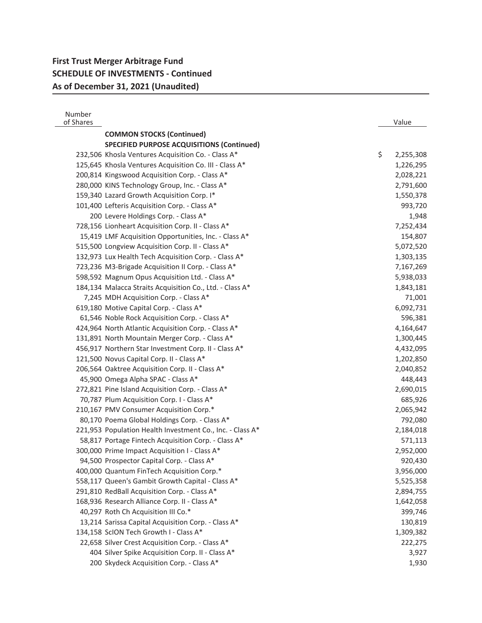| Number<br>of Shares |                                                                                                         | Value           |
|---------------------|---------------------------------------------------------------------------------------------------------|-----------------|
|                     |                                                                                                         |                 |
|                     | <b>COMMON STOCKS (Continued)</b>                                                                        |                 |
|                     | <b>SPECIFIED PURPOSE ACQUISITIONS (Continued)</b><br>232,506 Khosla Ventures Acquisition Co. - Class A* | \$<br>2,255,308 |
|                     | 125,645 Khosla Ventures Acquisition Co. III - Class A*                                                  | 1,226,295       |
|                     | 200,814 Kingswood Acquisition Corp. - Class A*                                                          | 2,028,221       |
|                     | 280,000 KINS Technology Group, Inc. - Class A*                                                          | 2,791,600       |
|                     | 159,340 Lazard Growth Acquisition Corp. I*                                                              | 1,550,378       |
|                     | 101,400 Lefteris Acquisition Corp. - Class A*                                                           | 993,720         |
|                     | 200 Levere Holdings Corp. - Class A*                                                                    | 1,948           |
|                     | 728,156 Lionheart Acquisition Corp. II - Class A*                                                       | 7,252,434       |
|                     | 15,419 LMF Acquisition Opportunities, Inc. - Class A*                                                   | 154,807         |
|                     | 515,500 Longview Acquisition Corp. II - Class A*                                                        | 5,072,520       |
|                     | 132,973 Lux Health Tech Acquisition Corp. - Class A*                                                    | 1,303,135       |
|                     | 723,236 M3-Brigade Acquisition II Corp. - Class A*                                                      | 7,167,269       |
|                     | 598,592 Magnum Opus Acquisition Ltd. - Class A*                                                         | 5,938,033       |
|                     | 184,134 Malacca Straits Acquisition Co., Ltd. - Class A*                                                | 1,843,181       |
|                     | 7,245 MDH Acquisition Corp. - Class A*                                                                  | 71,001          |
|                     | 619,180 Motive Capital Corp. - Class A*                                                                 | 6,092,731       |
|                     | 61,546 Noble Rock Acquisition Corp. - Class A*                                                          | 596,381         |
|                     | 424,964 North Atlantic Acquisition Corp. - Class A*                                                     | 4,164,647       |
|                     | 131,891 North Mountain Merger Corp. - Class A*                                                          | 1,300,445       |
|                     | 456,917 Northern Star Investment Corp. II - Class A*                                                    | 4,432,095       |
|                     | 121,500 Novus Capital Corp. II - Class A*                                                               | 1,202,850       |
|                     | 206,564 Oaktree Acquisition Corp. II - Class A*                                                         | 2,040,852       |
|                     | 45,900 Omega Alpha SPAC - Class A*                                                                      | 448,443         |
|                     | 272,821 Pine Island Acquisition Corp. - Class A*                                                        | 2,690,015       |
|                     | 70,787 Plum Acquisition Corp. I - Class A*                                                              | 685,926         |
|                     | 210,167 PMV Consumer Acquisition Corp.*                                                                 | 2,065,942       |
|                     | 80,170 Poema Global Holdings Corp. - Class A*                                                           | 792,080         |
|                     | 221,953 Population Health Investment Co., Inc. - Class A*                                               | 2,184,018       |
|                     | 58,817 Portage Fintech Acquisition Corp. - Class A*                                                     | 571,113         |
|                     | 300,000 Prime Impact Acquisition I - Class A*                                                           | 2,952,000       |
|                     | 94,500 Prospector Capital Corp. - Class A*                                                              | 920,430         |
|                     | 400,000 Quantum FinTech Acquisition Corp.*                                                              | 3,956,000       |
|                     | 558,117 Queen's Gambit Growth Capital - Class A*                                                        | 5,525,358       |
|                     | 291,810 RedBall Acquisition Corp. - Class A*                                                            | 2,894,755       |
|                     | 168,936 Research Alliance Corp. II - Class A*                                                           | 1,642,058       |
|                     | 40,297 Roth Ch Acquisition III Co.*                                                                     | 399,746         |
|                     | 13,214 Sarissa Capital Acquisition Corp. - Class A*                                                     | 130,819         |
|                     | 134,158 ScION Tech Growth I - Class A*                                                                  | 1,309,382       |
|                     | 22,658 Silver Crest Acquisition Corp. - Class A*                                                        | 222,275         |
|                     | 404 Silver Spike Acquisition Corp. II - Class A*                                                        | 3,927           |
|                     | 200 Skydeck Acquisition Corp. - Class A*                                                                | 1,930           |
|                     |                                                                                                         |                 |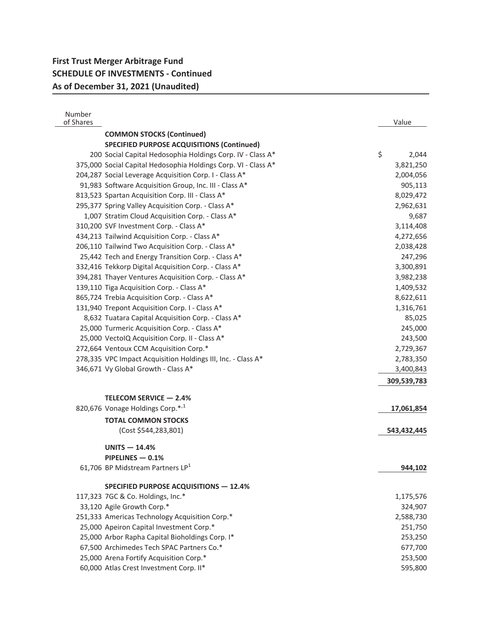| Number<br>of Shares |                                                                                                                              | Value              |
|---------------------|------------------------------------------------------------------------------------------------------------------------------|--------------------|
|                     |                                                                                                                              |                    |
|                     | <b>COMMON STOCKS (Continued)</b>                                                                                             |                    |
|                     | <b>SPECIFIED PURPOSE ACQUISITIONS (Continued)</b>                                                                            | \$                 |
|                     | 200 Social Capital Hedosophia Holdings Corp. IV - Class A*<br>375,000 Social Capital Hedosophia Holdings Corp. VI - Class A* | 2,044              |
|                     |                                                                                                                              | 3,821,250          |
|                     | 204,287 Social Leverage Acquisition Corp. I - Class A*                                                                       | 2,004,056          |
|                     | 91,983 Software Acquisition Group, Inc. III - Class A*                                                                       | 905,113            |
|                     | 813,523 Spartan Acquisition Corp. III - Class A*<br>295,377 Spring Valley Acquisition Corp. - Class A*                       | 8,029,472          |
|                     |                                                                                                                              | 2,962,631          |
|                     | 1,007 Stratim Cloud Acquisition Corp. - Class A*<br>310,200 SVF Investment Corp. - Class A*                                  | 9,687<br>3,114,408 |
|                     | 434,213 Tailwind Acquisition Corp. - Class A*                                                                                | 4,272,656          |
|                     | 206,110 Tailwind Two Acquisition Corp. - Class A*                                                                            | 2,038,428          |
|                     | 25,442 Tech and Energy Transition Corp. - Class A*                                                                           | 247,296            |
|                     | 332,416 Tekkorp Digital Acquisition Corp. - Class A*                                                                         | 3,300,891          |
|                     | 394,281 Thayer Ventures Acquisition Corp. - Class A*                                                                         | 3,982,238          |
|                     | 139,110 Tiga Acquisition Corp. - Class A*                                                                                    | 1,409,532          |
|                     | 865,724 Trebia Acquisition Corp. - Class A*                                                                                  | 8,622,611          |
|                     | 131,940 Trepont Acquisition Corp. I - Class A*                                                                               | 1,316,761          |
|                     | 8,632 Tuatara Capital Acquisition Corp. - Class A*                                                                           | 85,025             |
|                     | 25,000 Turmeric Acquisition Corp. - Class A*                                                                                 | 245,000            |
|                     | 25,000 VectolQ Acquisition Corp. II - Class A*                                                                               | 243,500            |
|                     | 272,664 Ventoux CCM Acquisition Corp.*                                                                                       | 2,729,367          |
|                     | 278,335 VPC Impact Acquisition Holdings III, Inc. - Class A*                                                                 | 2,783,350          |
|                     | 346,671 Vy Global Growth - Class A*                                                                                          | 3,400,843          |
|                     |                                                                                                                              |                    |
|                     |                                                                                                                              | 309,539,783        |
|                     | TELECOM SERVICE - 2.4%                                                                                                       |                    |
|                     | 820,676 Vonage Holdings Corp.* <sup>1</sup>                                                                                  | 17,061,854         |
|                     | <b>TOTAL COMMON STOCKS</b>                                                                                                   |                    |
|                     | (Cost \$544,283,801)                                                                                                         | 543,432,445        |
|                     | UNITS $-14.4%$                                                                                                               |                    |
|                     | PIPELINES - 0.1%                                                                                                             |                    |
|                     | 61,706 BP Midstream Partners LP <sup>1</sup>                                                                                 | 944,102            |
|                     | <b>SPECIFIED PURPOSE ACQUISITIONS - 12.4%</b>                                                                                |                    |
|                     | 117,323 7GC & Co. Holdings, Inc.*                                                                                            | 1,175,576          |
|                     | 33,120 Agile Growth Corp.*                                                                                                   | 324,907            |
|                     | 251,333 Americas Technology Acquisition Corp.*                                                                               | 2,588,730          |
|                     | 25,000 Apeiron Capital Investment Corp.*                                                                                     | 251,750            |
|                     | 25,000 Arbor Rapha Capital Bioholdings Corp. I*                                                                              | 253,250            |
|                     | 67,500 Archimedes Tech SPAC Partners Co.*                                                                                    | 677,700            |
|                     | 25,000 Arena Fortify Acquisition Corp.*                                                                                      | 253,500            |
|                     | 60,000 Atlas Crest Investment Corp. II*                                                                                      | 595,800            |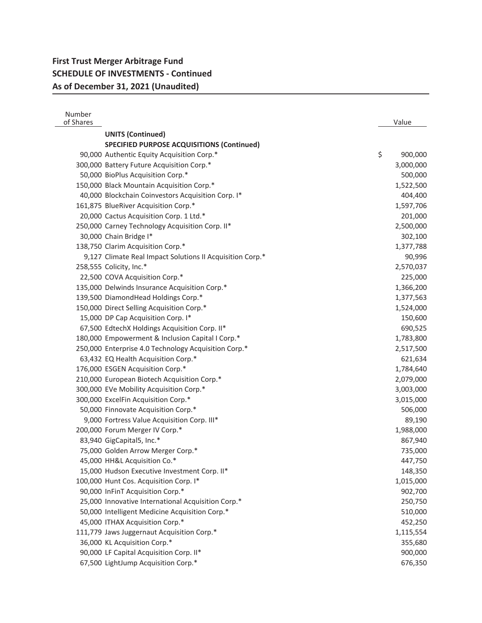| Number<br>of Shares |                                                                                            | Value                |
|---------------------|--------------------------------------------------------------------------------------------|----------------------|
|                     | <b>UNITS (Continued)</b>                                                                   |                      |
|                     | <b>SPECIFIED PURPOSE ACQUISITIONS (Continued)</b>                                          |                      |
|                     | 90,000 Authentic Equity Acquisition Corp.*                                                 | \$<br>900,000        |
|                     | 300,000 Battery Future Acquisition Corp.*                                                  | 3,000,000            |
|                     | 50,000 BioPlus Acquisition Corp.*                                                          | 500,000              |
|                     | 150,000 Black Mountain Acquisition Corp.*                                                  | 1,522,500            |
|                     | 40,000 Blockchain Coinvestors Acquisition Corp. I*                                         |                      |
|                     | 161,875 BlueRiver Acquisition Corp.*                                                       | 404,400<br>1,597,706 |
|                     |                                                                                            |                      |
|                     | 20,000 Cactus Acquisition Corp. 1 Ltd.*<br>250,000 Carney Technology Acquisition Corp. II* | 201,000              |
|                     |                                                                                            | 2,500,000            |
|                     | 30,000 Chain Bridge I*                                                                     | 302,100              |
|                     | 138,750 Clarim Acquisition Corp.*                                                          | 1,377,788            |
|                     | 9,127 Climate Real Impact Solutions II Acquisition Corp.*                                  | 90,996               |
|                     | 258,555 Colicity, Inc.*                                                                    | 2,570,037            |
|                     | 22,500 COVA Acquisition Corp.*                                                             | 225,000              |
|                     | 135,000 Delwinds Insurance Acquisition Corp.*                                              | 1,366,200            |
|                     | 139,500 DiamondHead Holdings Corp.*                                                        | 1,377,563            |
|                     | 150,000 Direct Selling Acquisition Corp.*                                                  | 1,524,000            |
|                     | 15,000 DP Cap Acquisition Corp. I*                                                         | 150,600              |
|                     | 67,500 EdtechX Holdings Acquisition Corp. II*                                              | 690,525              |
|                     | 180,000 Empowerment & Inclusion Capital I Corp.*                                           | 1,783,800            |
|                     | 250,000 Enterprise 4.0 Technology Acquisition Corp.*                                       | 2,517,500            |
|                     | 63,432 EQ Health Acquisition Corp.*                                                        | 621,634              |
|                     | 176,000 ESGEN Acquisition Corp.*                                                           | 1,784,640            |
|                     | 210,000 European Biotech Acquisition Corp.*                                                | 2,079,000            |
|                     | 300,000 EVe Mobility Acquisition Corp.*                                                    | 3,003,000            |
|                     | 300,000 ExcelFin Acquisition Corp.*                                                        | 3,015,000            |
|                     | 50,000 Finnovate Acquisition Corp.*                                                        | 506,000              |
|                     | 9,000 Fortress Value Acquisition Corp. III*                                                | 89,190               |
|                     | 200,000 Forum Merger IV Corp.*                                                             | 1,988,000            |
|                     | 83,940 GigCapital5, Inc.*                                                                  | 867,940              |
|                     | 75,000 Golden Arrow Merger Corp.*                                                          | 735,000              |
|                     | 45,000 HH&L Acquisition Co.*                                                               | 447,750              |
|                     | 15,000 Hudson Executive Investment Corp. II*                                               | 148,350              |
|                     | 100,000 Hunt Cos. Acquisition Corp. I*                                                     | 1,015,000            |
|                     | 90,000 InFinT Acquisition Corp.*                                                           | 902,700              |
|                     | 25,000 Innovative International Acquisition Corp.*                                         | 250,750              |
|                     | 50,000 Intelligent Medicine Acquisition Corp.*                                             | 510,000              |
|                     | 45,000 ITHAX Acquisition Corp.*                                                            | 452,250              |
|                     | 111,779 Jaws Juggernaut Acquisition Corp.*                                                 | 1,115,554            |
|                     | 36,000 KL Acquisition Corp.*                                                               | 355,680              |
|                     | 90,000 LF Capital Acquisition Corp. II*                                                    | 900,000              |
|                     | 67,500 LightJump Acquisition Corp.*                                                        | 676,350              |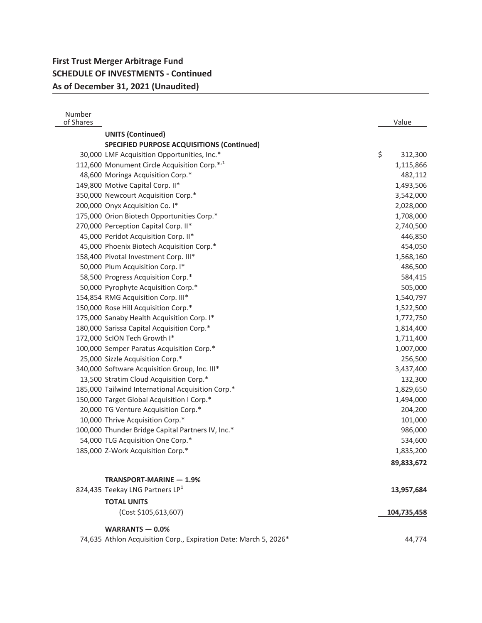| Number<br>of Shares |                                                                  | Value         |
|---------------------|------------------------------------------------------------------|---------------|
|                     | <b>UNITS (Continued)</b>                                         |               |
|                     | <b>SPECIFIED PURPOSE ACQUISITIONS (Continued)</b>                |               |
|                     | 30,000 LMF Acquisition Opportunities, Inc.*                      | \$<br>312,300 |
|                     | 112,600 Monument Circle Acquisition Corp.* <sup>1</sup>          | 1,115,866     |
|                     | 48,600 Moringa Acquisition Corp.*                                | 482,112       |
|                     | 149,800 Motive Capital Corp. II*                                 | 1,493,506     |
|                     | 350,000 Newcourt Acquisition Corp.*                              | 3,542,000     |
|                     | 200,000 Onyx Acquisition Co. I*                                  | 2,028,000     |
|                     | 175,000 Orion Biotech Opportunities Corp.*                       | 1,708,000     |
|                     | 270,000 Perception Capital Corp. II*                             | 2,740,500     |
|                     | 45,000 Peridot Acquisition Corp. II*                             | 446,850       |
|                     | 45,000 Phoenix Biotech Acquisition Corp.*                        | 454,050       |
|                     | 158,400 Pivotal Investment Corp. III*                            | 1,568,160     |
|                     | 50,000 Plum Acquisition Corp. I*                                 | 486,500       |
|                     | 58,500 Progress Acquisition Corp.*                               | 584,415       |
|                     | 50,000 Pyrophyte Acquisition Corp.*                              | 505,000       |
|                     | 154,854 RMG Acquisition Corp. III*                               | 1,540,797     |
|                     | 150,000 Rose Hill Acquisition Corp.*                             | 1,522,500     |
|                     | 175,000 Sanaby Health Acquisition Corp. I*                       | 1,772,750     |
|                     | 180,000 Sarissa Capital Acquisition Corp.*                       | 1,814,400     |
|                     | 172,000 ScION Tech Growth I*                                     | 1,711,400     |
|                     | 100,000 Semper Paratus Acquisition Corp.*                        | 1,007,000     |
|                     | 25,000 Sizzle Acquisition Corp.*                                 | 256,500       |
|                     | 340,000 Software Acquisition Group, Inc. III*                    | 3,437,400     |
|                     | 13,500 Stratim Cloud Acquisition Corp.*                          | 132,300       |
|                     | 185,000 Tailwind International Acquisition Corp.*                | 1,829,650     |
|                     | 150,000 Target Global Acquisition I Corp.*                       | 1,494,000     |
|                     | 20,000 TG Venture Acquisition Corp.*                             | 204,200       |
|                     | 10,000 Thrive Acquisition Corp.*                                 | 101,000       |
|                     | 100,000 Thunder Bridge Capital Partners IV, Inc.*                | 986,000       |
|                     | 54,000 TLG Acquisition One Corp.*                                | 534,600       |
|                     | 185,000 Z-Work Acquisition Corp.*                                | 1,835,200     |
|                     |                                                                  | 89,833,672    |
|                     | TRANSPORT-MARINE - 1.9%                                          |               |
|                     | 824,435 Teekay LNG Partners LP <sup>1</sup>                      | 13,957,684    |
|                     | <b>TOTAL UNITS</b>                                               |               |
|                     | (Cost \$105,613,607)                                             | 104,735,458   |
|                     | WARRANTS $-0.0%$                                                 |               |
|                     | 74,635 Athlon Acquisition Corp., Expiration Date: March 5, 2026* | 44,774        |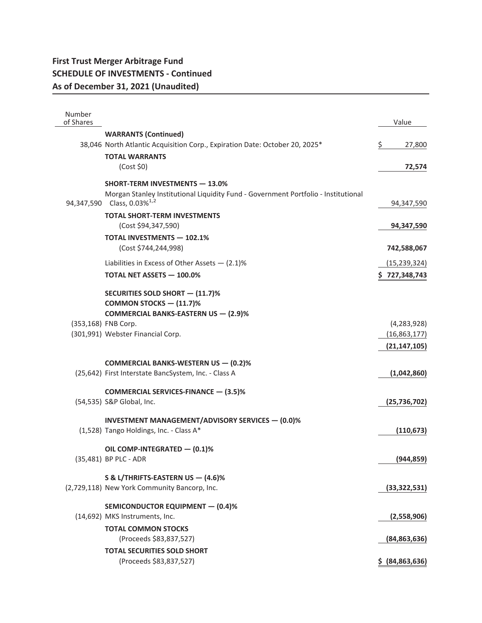| Number<br>of Shares |                                                                                                                             | Value           |
|---------------------|-----------------------------------------------------------------------------------------------------------------------------|-----------------|
|                     | <b>WARRANTS (Continued)</b>                                                                                                 |                 |
|                     | 38,046 North Atlantic Acquisition Corp., Expiration Date: October 20, 2025*                                                 | \$<br>27,800    |
|                     | <b>TOTAL WARRANTS</b>                                                                                                       |                 |
|                     | (Cost \$0)                                                                                                                  | 72,574          |
|                     |                                                                                                                             |                 |
|                     | <b>SHORT-TERM INVESTMENTS - 13.0%</b><br>Morgan Stanley Institutional Liquidity Fund - Government Portfolio - Institutional |                 |
| 94,347,590          | Class, $0.03\%^{1,2}$                                                                                                       | 94,347,590      |
|                     | <b>TOTAL SHORT-TERM INVESTMENTS</b>                                                                                         |                 |
|                     | (Cost \$94,347,590)                                                                                                         | 94,347,590      |
|                     | <b>TOTAL INVESTMENTS - 102.1%</b>                                                                                           |                 |
|                     | (Cost \$744,244,998)                                                                                                        | 742,588,067     |
|                     | Liabilities in Excess of Other Assets $-$ (2.1)%                                                                            | (15, 239, 324)  |
|                     | <b>TOTAL NET ASSETS - 100.0%</b>                                                                                            | \$727,348,743   |
|                     | SECURITIES SOLD SHORT - (11.7)%                                                                                             |                 |
|                     | COMMON STOCKS - (11.7)%                                                                                                     |                 |
|                     | <b>COMMERCIAL BANKS-EASTERN US - (2.9)%</b>                                                                                 |                 |
|                     | (353,168) FNB Corp.                                                                                                         | (4, 283, 928)   |
|                     | (301,991) Webster Financial Corp.                                                                                           | (16,863,177)    |
|                     |                                                                                                                             | (21, 147, 105)  |
|                     | <b>COMMERCIAL BANKS-WESTERN US - (0.2)%</b>                                                                                 |                 |
|                     | (25,642) First Interstate BancSystem, Inc. - Class A                                                                        | (1,042,860)     |
|                     |                                                                                                                             |                 |
|                     | <b>COMMERCIAL SERVICES-FINANCE - (3.5)%</b>                                                                                 |                 |
|                     | (54,535) S&P Global, Inc.                                                                                                   | (25, 736, 702)  |
|                     | INVESTMENT MANAGEMENT/ADVISORY SERVICES - (0.0)%                                                                            |                 |
|                     | (1,528) Tango Holdings, Inc. - Class A*                                                                                     | (110, 673)      |
|                     |                                                                                                                             |                 |
|                     | OIL COMP-INTEGRATED - (0.1)%<br>(35,481) BP PLC - ADR                                                                       |                 |
|                     |                                                                                                                             | (944, 859)      |
|                     | S & L/THRIFTS-EASTERN US - (4.6)%                                                                                           |                 |
|                     | (2,729,118) New York Community Bancorp, Inc.                                                                                | (33, 322, 531)  |
|                     | SEMICONDUCTOR EQUIPMENT - (0.4)%                                                                                            |                 |
|                     | (14,692) MKS Instruments, Inc.                                                                                              | (2,558,906)     |
|                     | <b>TOTAL COMMON STOCKS</b>                                                                                                  |                 |
|                     | (Proceeds \$83,837,527)                                                                                                     | (84, 863, 636)  |
|                     | <b>TOTAL SECURITIES SOLD SHORT</b>                                                                                          |                 |
|                     | (Proceeds \$83,837,527)                                                                                                     | \$ (84,863,636) |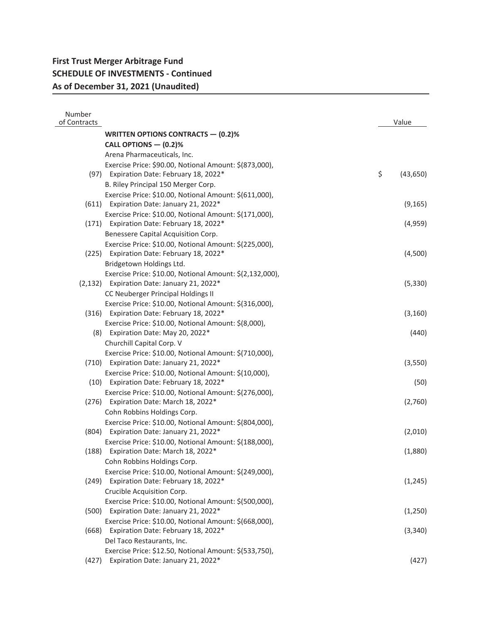| Number<br>of Contracts |                                                          | Value           |
|------------------------|----------------------------------------------------------|-----------------|
|                        |                                                          |                 |
|                        | <b>WRITTEN OPTIONS CONTRACTS - (0.2)%</b>                |                 |
|                        | CALL OPTIONS - (0.2)%                                    |                 |
|                        | Arena Pharmaceuticals, Inc.                              |                 |
|                        | Exercise Price: \$90.00, Notional Amount: \$(873,000),   |                 |
|                        | (97) Expiration Date: February 18, 2022*                 | \$<br>(43, 650) |
|                        | B. Riley Principal 150 Merger Corp.                      |                 |
|                        | Exercise Price: \$10.00, Notional Amount: \$(611,000),   |                 |
|                        | (611) Expiration Date: January 21, 2022*                 | (9, 165)        |
|                        | Exercise Price: \$10.00, Notional Amount: \$(171,000),   |                 |
|                        | (171) Expiration Date: February 18, 2022*                | (4,959)         |
|                        | Benessere Capital Acquisition Corp.                      |                 |
|                        | Exercise Price: \$10.00, Notional Amount: \$(225,000),   |                 |
|                        | (225) Expiration Date: February 18, 2022*                | (4,500)         |
|                        | Bridgetown Holdings Ltd.                                 |                 |
|                        | Exercise Price: \$10.00, Notional Amount: \$(2,132,000), |                 |
|                        | (2,132) Expiration Date: January 21, 2022*               | (5, 330)        |
|                        | CC Neuberger Principal Holdings II                       |                 |
|                        | Exercise Price: \$10.00, Notional Amount: \$(316,000),   |                 |
|                        | (316) Expiration Date: February 18, 2022*                | (3, 160)        |
|                        | Exercise Price: \$10.00, Notional Amount: \$(8,000),     |                 |
|                        | (8) Expiration Date: May 20, 2022*                       | (440)           |
|                        | Churchill Capital Corp. V                                |                 |
|                        | Exercise Price: \$10.00, Notional Amount: \$(710,000),   |                 |
|                        | (710) Expiration Date: January 21, 2022*                 | (3,550)         |
|                        | Exercise Price: \$10.00, Notional Amount: \$(10,000),    |                 |
|                        | (10) Expiration Date: February 18, 2022*                 | (50)            |
|                        | Exercise Price: \$10.00, Notional Amount: \$(276,000),   |                 |
|                        | (276) Expiration Date: March 18, 2022*                   | (2,760)         |
|                        | Cohn Robbins Holdings Corp.                              |                 |
|                        | Exercise Price: \$10.00, Notional Amount: \$(804,000),   |                 |
|                        | (804) Expiration Date: January 21, 2022*                 | (2,010)         |
|                        | Exercise Price: \$10.00, Notional Amount: \$(188,000),   |                 |
|                        | (188) Expiration Date: March 18, 2022*                   | (1,880)         |
|                        | Cohn Robbins Holdings Corp.                              |                 |
|                        | Exercise Price: \$10.00, Notional Amount: \$(249,000),   |                 |
| (249)                  | Expiration Date: February 18, 2022*                      | (1, 245)        |
|                        | Crucible Acquisition Corp.                               |                 |
|                        | Exercise Price: \$10.00, Notional Amount: \$(500,000),   |                 |
|                        | (500) Expiration Date: January 21, 2022*                 | (1, 250)        |
|                        | Exercise Price: \$10.00, Notional Amount: \$(668,000),   |                 |
|                        | (668) Expiration Date: February 18, 2022*                | (3, 340)        |
|                        | Del Taco Restaurants, Inc.                               |                 |
|                        | Exercise Price: \$12.50, Notional Amount: \$(533,750),   |                 |
| (427)                  | Expiration Date: January 21, 2022*                       | (427)           |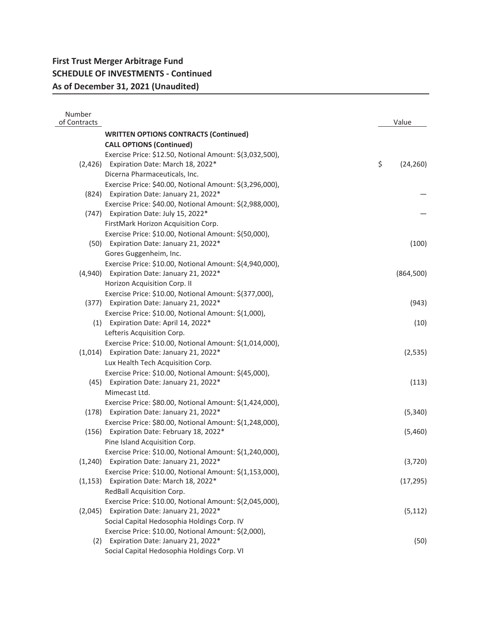| Number       |                                                          |                 |
|--------------|----------------------------------------------------------|-----------------|
| of Contracts |                                                          | Value           |
|              | <b>WRITTEN OPTIONS CONTRACTS (Continued)</b>             |                 |
|              | <b>CALL OPTIONS (Continued)</b>                          |                 |
|              | Exercise Price: \$12.50, Notional Amount: \$(3,032,500), |                 |
| (2,426)      | Expiration Date: March 18, 2022*                         | \$<br>(24, 260) |
|              | Dicerna Pharmaceuticals, Inc.                            |                 |
|              | Exercise Price: \$40.00, Notional Amount: \$(3,296,000), |                 |
|              | (824) Expiration Date: January 21, 2022*                 |                 |
|              | Exercise Price: \$40.00, Notional Amount: \$(2,988,000), |                 |
|              | (747) Expiration Date: July 15, 2022*                    |                 |
|              | FirstMark Horizon Acquisition Corp.                      |                 |
|              | Exercise Price: \$10.00, Notional Amount: \$(50,000),    |                 |
|              | (50) Expiration Date: January 21, 2022*                  | (100)           |
|              | Gores Guggenheim, Inc.                                   |                 |
|              | Exercise Price: \$10.00, Notional Amount: \$(4,940,000), |                 |
| (4,940)      | Expiration Date: January 21, 2022*                       | (864, 500)      |
|              | Horizon Acquisition Corp. II                             |                 |
|              | Exercise Price: \$10.00, Notional Amount: \$(377,000),   |                 |
|              | (377) Expiration Date: January 21, 2022*                 | (943)           |
|              | Exercise Price: \$10.00, Notional Amount: \$(1,000),     |                 |
|              | (1) Expiration Date: April 14, 2022*                     | (10)            |
|              | Lefteris Acquisition Corp.                               |                 |
|              | Exercise Price: \$10.00, Notional Amount: \$(1,014,000), |                 |
| (1,014)      | Expiration Date: January 21, 2022*                       | (2, 535)        |
|              | Lux Health Tech Acquisition Corp.                        |                 |
|              | Exercise Price: \$10.00, Notional Amount: \$(45,000),    |                 |
|              | (45) Expiration Date: January 21, 2022*                  | (113)           |
|              | Mimecast Ltd.                                            |                 |
|              | Exercise Price: \$80.00, Notional Amount: \$(1,424,000), |                 |
|              | (178) Expiration Date: January 21, 2022*                 | (5, 340)        |
|              | Exercise Price: \$80.00, Notional Amount: \$(1,248,000), |                 |
|              | (156) Expiration Date: February 18, 2022*                | (5,460)         |
|              | Pine Island Acquisition Corp.                            |                 |
|              | Exercise Price: \$10.00, Notional Amount: \$(1,240,000), |                 |
|              | (1,240) Expiration Date: January 21, 2022*               | (3,720)         |
|              | Exercise Price: \$10.00, Notional Amount: \$(1,153,000), |                 |
| (1, 153)     | Expiration Date: March 18, 2022*                         | (17, 295)       |
|              | RedBall Acquisition Corp.                                |                 |
|              | Exercise Price: \$10.00, Notional Amount: \$(2,045,000), |                 |
| (2,045)      | Expiration Date: January 21, 2022*                       | (5, 112)        |
|              | Social Capital Hedosophia Holdings Corp. IV              |                 |
|              | Exercise Price: \$10.00, Notional Amount: \$(2,000),     |                 |
|              | (2) Expiration Date: January 21, 2022*                   | (50)            |
|              | Social Capital Hedosophia Holdings Corp. VI              |                 |
|              |                                                          |                 |